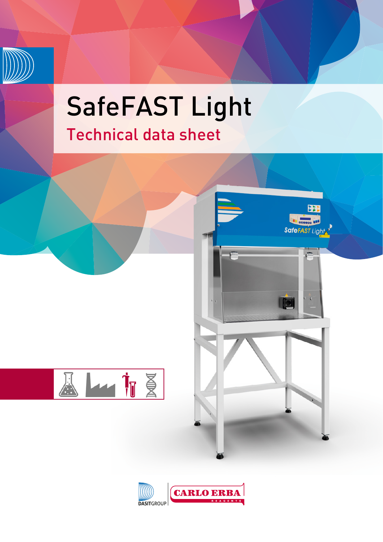

## SafeFAST Light Technical data sheet